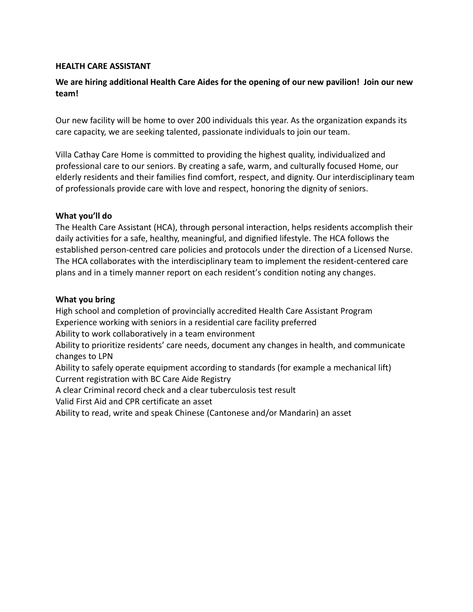## **HEALTH CARE ASSISTANT**

# **We are hiring additional Health Care Aides for the opening of our new pavilion! Join our new team!**

Our new facility will be home to over 200 individuals this year. As the organization expands its care capacity, we are seeking talented, passionate individuals to join our team.

Villa Cathay Care Home is committed to providing the highest quality, individualized and professional care to our seniors. By creating a safe, warm, and culturally focused Home, our elderly residents and their families find comfort, respect, and dignity. Our interdisciplinary team of professionals provide care with love and respect, honoring the dignity of seniors.

## **What you'll do**

The Health Care Assistant (HCA), through personal interaction, helps residents accomplish their daily activities for a safe, healthy, meaningful, and dignified lifestyle. The HCA follows the established person-centred care policies and protocols under the direction of a Licensed Nurse. The HCA collaborates with the interdisciplinary team to implement the resident-centered care plans and in a timely manner report on each resident's condition noting any changes.

#### **What you bring**

High school and completion of provincially accredited Health Care Assistant Program Experience working with seniors in a residential care facility preferred Ability to work collaboratively in a team environment Ability to prioritize residents' care needs, document any changes in health, and communicate changes to LPN Ability to safely operate equipment according to standards (for example a mechanical lift) Current registration with BC Care Aide Registry A clear Criminal record check and a clear tuberculosis test result Valid First Aid and CPR certificate an asset Ability to read, write and speak Chinese (Cantonese and/or Mandarin) an asset